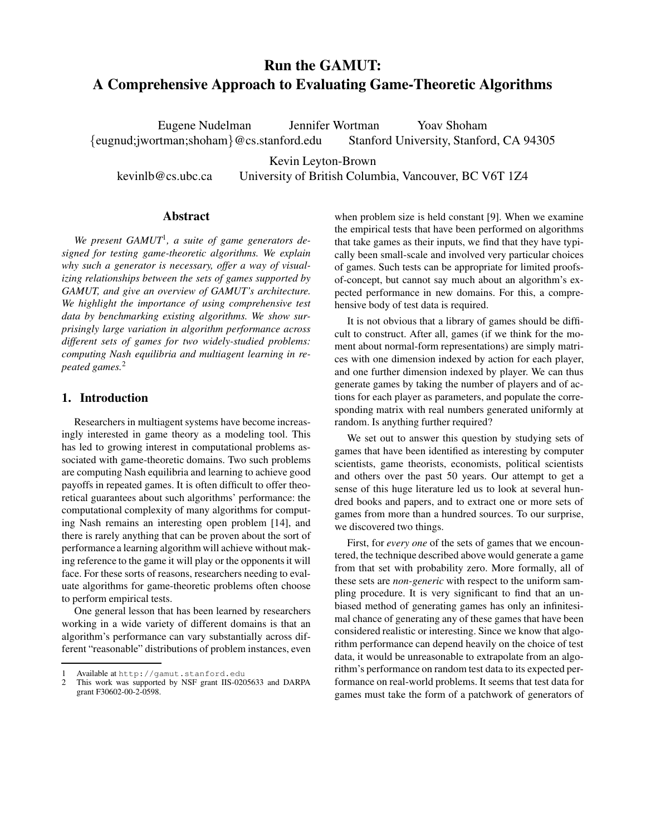# **Run the GAMUT: A Comprehensive Approach to Evaluating Game-Theoretic Algorithms**

Eugene Nudelman Jennifer Wortman Yoav Shoham {eugnud;jwortman;shoham}@cs.stanford.edu Stanford University, Stanford, CA 94305

Kevin Leyton-Brown

kevinlb@cs.ubc.ca University of British Columbia, Vancouver, BC V6T 1Z4

# **Abstract**

*We present GAMUT*<sup>1</sup> *, a suite of game generators designed for testing game-theoretic algorithms. We explain why such a generator is necessary, offer a way of visualizing relationships between the sets of games supported by GAMUT, and give an overview of GAMUT's architecture. We highlight the importance of using comprehensive test data by benchmarking existing algorithms. We show surprisingly large variation in algorithm performance across different sets of games for two widely-studied problems: computing Nash equilibria and multiagent learning in repeated games.*<sup>2</sup>

### **1. Introduction**

Researchers in multiagent systems have become increasingly interested in game theory as a modeling tool. This has led to growing interest in computational problems associated with game-theoretic domains. Two such problems are computing Nash equilibria and learning to achieve good payoffs in repeated games. It is often difficult to offer theoretical guarantees about such algorithms' performance: the computational complexity of many algorithms for computing Nash remains an interesting open problem [14], and there is rarely anything that can be proven about the sort of performance a learning algorithm will achieve without making reference to the game it will play or the opponents it will face. For these sorts of reasons, researchers needing to evaluate algorithms for game-theoretic problems often choose to perform empirical tests.

One general lesson that has been learned by researchers working in a wide variety of different domains is that an algorithm's performance can vary substantially across different "reasonable" distributions of problem instances, even

when problem size is held constant [9]. When we examine the empirical tests that have been performed on algorithms that take games as their inputs, we find that they have typically been small-scale and involved very particular choices of games. Such tests can be appropriate for limited proofsof-concept, but cannot say much about an algorithm's expected performance in new domains. For this, a comprehensive body of test data is required.

It is not obvious that a library of games should be difficult to construct. After all, games (if we think for the moment about normal-form representations) are simply matrices with one dimension indexed by action for each player, and one further dimension indexed by player. We can thus generate games by taking the number of players and of actions for each player as parameters, and populate the corresponding matrix with real numbers generated uniformly at random. Is anything further required?

We set out to answer this question by studying sets of games that have been identified as interesting by computer scientists, game theorists, economists, political scientists and others over the past 50 years. Our attempt to get a sense of this huge literature led us to look at several hundred books and papers, and to extract one or more sets of games from more than a hundred sources. To our surprise, we discovered two things.

First, for *every one* of the sets of games that we encountered, the technique described above would generate a game from that set with probability zero. More formally, all of these sets are *non-generic* with respect to the uniform sampling procedure. It is very significant to find that an unbiased method of generating games has only an infinitesimal chance of generating any of these games that have been considered realistic or interesting. Since we know that algorithm performance can depend heavily on the choice of test data, it would be unreasonable to extrapolate from an algorithm's performance on random test data to its expected performance on real-world problems. It seems that test data for games must take the form of a patchwork of generators of

<sup>1</sup> Available at http://gamut.stanford.edu

<sup>2</sup> This work was supported by NSF grant IIS-0205633 and DARPA grant F30602-00-2-0598.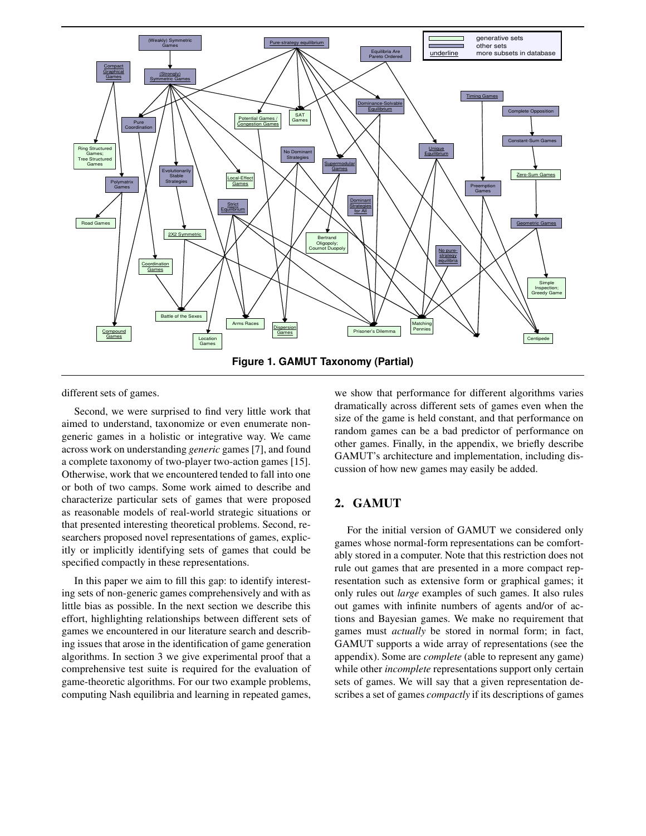

different sets of games.

Second, we were surprised to find very little work that aimed to understand, taxonomize or even enumerate nongeneric games in a holistic or integrative way. We came across work on understanding *generic* games [7], and found a complete taxonomy of two-player two-action games [15]. Otherwise, work that we encountered tended to fall into one or both of two camps. Some work aimed to describe and characterize particular sets of games that were proposed as reasonable models of real-world strategic situations or that presented interesting theoretical problems. Second, researchers proposed novel representations of games, explicitly or implicitly identifying sets of games that could be specified compactly in these representations.

In this paper we aim to fill this gap: to identify interesting sets of non-generic games comprehensively and with as little bias as possible. In the next section we describe this effort, highlighting relationships between different sets of games we encountered in our literature search and describing issues that arose in the identification of game generation algorithms. In section 3 we give experimental proof that a comprehensive test suite is required for the evaluation of game-theoretic algorithms. For our two example problems, computing Nash equilibria and learning in repeated games,

we show that performance for different algorithms varies dramatically across different sets of games even when the size of the game is held constant, and that performance on random games can be a bad predictor of performance on other games. Finally, in the appendix, we briefly describe GAMUT's architecture and implementation, including discussion of how new games may easily be added.

# **2. GAMUT**

For the initial version of GAMUT we considered only games whose normal-form representations can be comfortably stored in a computer. Note that this restriction does not rule out games that are presented in a more compact representation such as extensive form or graphical games; it only rules out *large* examples of such games. It also rules out games with infinite numbers of agents and/or of actions and Bayesian games. We make no requirement that games must *actually* be stored in normal form; in fact, GAMUT supports a wide array of representations (see the appendix). Some are *complete* (able to represent any game) while other *incomplete* representations support only certain sets of games. We will say that a given representation describes a set of games *compactly* if its descriptions of games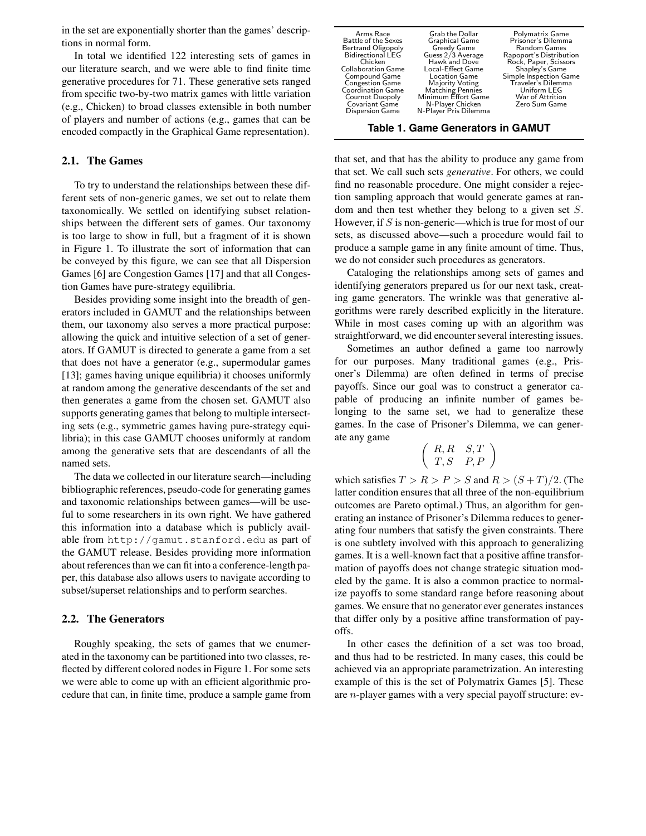in the set are exponentially shorter than the games' descriptions in normal form.

In total we identified 122 interesting sets of games in our literature search, and we were able to find finite time generative procedures for 71. These generative sets ranged from specific two-by-two matrix games with little variation (e.g., Chicken) to broad classes extensible in both number of players and number of actions (e.g., games that can be encoded compactly in the Graphical Game representation).

#### **2.1. The Games**

To try to understand the relationships between these different sets of non-generic games, we set out to relate them taxonomically. We settled on identifying subset relationships between the different sets of games. Our taxonomy is too large to show in full, but a fragment of it is shown in Figure 1. To illustrate the sort of information that can be conveyed by this figure, we can see that all Dispersion Games [6] are Congestion Games [17] and that all Congestion Games have pure-strategy equilibria.

Besides providing some insight into the breadth of generators included in GAMUT and the relationships between them, our taxonomy also serves a more practical purpose: allowing the quick and intuitive selection of a set of generators. If GAMUT is directed to generate a game from a set that does not have a generator (e.g., supermodular games [13]; games having unique equilibria) it chooses uniformly at random among the generative descendants of the set and then generates a game from the chosen set. GAMUT also supports generating games that belong to multiple intersecting sets (e.g., symmetric games having pure-strategy equilibria); in this case GAMUT chooses uniformly at random among the generative sets that are descendants of all the named sets.

The data we collected in our literature search—including bibliographic references, pseudo-code for generating games and taxonomic relationships between games—will be useful to some researchers in its own right. We have gathered this information into a database which is publicly available from http://gamut.stanford.edu as part of the GAMUT release. Besides providing more information about references than we can fit into a conference-length paper, this database also allows users to navigate according to subset/superset relationships and to perform searches.

#### **2.2. The Generators**

Roughly speaking, the sets of games that we enumerated in the taxonomy can be partitioned into two classes, reflected by different colored nodes in Figure 1. For some sets we were able to come up with an efficient algorithmic procedure that can, in finite time, produce a sample game from

| Arms Race<br>Battle of the Sexes<br>Bertrand Oligopoly<br><b>Bidirectional LEG</b><br>Chicken<br><b>Collaboration Game</b><br>Compound Game<br>Congestion Game<br><b>Coordination Game</b><br>Cournot Duopoly<br><b>Covariant Game</b><br><b>Dispersion Game</b> | Grab the Dollar<br>Graphical Game<br>Greedy Game<br>Guess 2/3 Average<br>Hawk and Dove<br>Local-Effect Game<br><b>Location Game</b><br>Majority Voting<br>Matching Pennies<br>Minimum Effort Game<br>N-Player Chicken<br>N-Player Pris Dilemma | Polymatrix Game<br>Prisoner's Dilemma<br><b>Random Games</b><br>Rapoport's Distribution<br>Rock, Paper, Scissors<br>Shapley's Game<br>Simple Inspection Game<br>Traveler's Dilemma<br>Uniform LEG<br>War of Attrition<br>Zero Sum Game |
|------------------------------------------------------------------------------------------------------------------------------------------------------------------------------------------------------------------------------------------------------------------|------------------------------------------------------------------------------------------------------------------------------------------------------------------------------------------------------------------------------------------------|----------------------------------------------------------------------------------------------------------------------------------------------------------------------------------------------------------------------------------------|
|------------------------------------------------------------------------------------------------------------------------------------------------------------------------------------------------------------------------------------------------------------------|------------------------------------------------------------------------------------------------------------------------------------------------------------------------------------------------------------------------------------------------|----------------------------------------------------------------------------------------------------------------------------------------------------------------------------------------------------------------------------------------|

**Table 1. Game Generators in GAMUT**

that set, and that has the ability to produce any game from that set. We call such sets *generative*. For others, we could find no reasonable procedure. One might consider a rejection sampling approach that would generate games at random and then test whether they belong to a given set S. However, if  $S$  is non-generic—which is true for most of our sets, as discussed above—such a procedure would fail to produce a sample game in any finite amount of time. Thus, we do not consider such procedures as generators.

Cataloging the relationships among sets of games and identifying generators prepared us for our next task, creating game generators. The wrinkle was that generative algorithms were rarely described explicitly in the literature. While in most cases coming up with an algorithm was straightforward, we did encounter several interesting issues.

Sometimes an author defined a game too narrowly for our purposes. Many traditional games (e.g., Prisoner's Dilemma) are often defined in terms of precise payoffs. Since our goal was to construct a generator capable of producing an infinite number of games belonging to the same set, we had to generalize these games. In the case of Prisoner's Dilemma, we can generate any game

$$
\left(\begin{array}{cc}R,R&S,T\\T,S&P,P\end{array}\right)
$$

which satisfies  $T > R > P > S$  and  $R > (S + T)/2$ . (The latter condition ensures that all three of the non-equilibrium outcomes are Pareto optimal.) Thus, an algorithm for generating an instance of Prisoner's Dilemma reduces to generating four numbers that satisfy the given constraints. There is one subtlety involved with this approach to generalizing games. It is a well-known fact that a positive affine transformation of payoffs does not change strategic situation modeled by the game. It is also a common practice to normalize payoffs to some standard range before reasoning about games. We ensure that no generator ever generatesinstances that differ only by a positive affine transformation of payoffs.

In other cases the definition of a set was too broad, and thus had to be restricted. In many cases, this could be achieved via an appropriate parametrization. An interesting example of this is the set of Polymatrix Games [5]. These are n-player games with a very special payoff structure: ev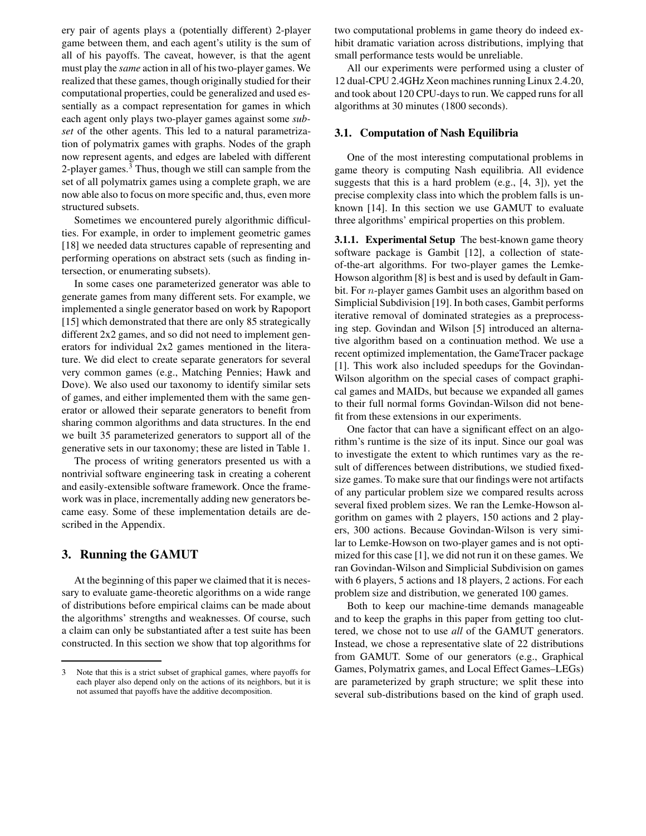ery pair of agents plays a (potentially different) 2-player game between them, and each agent's utility is the sum of all of his payoffs. The caveat, however, is that the agent must play the *same* action in all of histwo-player games. We realized that these games, though originally studied for their computational properties, could be generalized and used essentially as a compact representation for games in which each agent only plays two-player games against some *subset* of the other agents. This led to a natural parametrization of polymatrix games with graphs. Nodes of the graph now represent agents, and edges are labeled with different 2-player games. $3$  Thus, though we still can sample from the set of all polymatrix games using a complete graph, we are now able also to focus on more specific and, thus, even more structured subsets.

Sometimes we encountered purely algorithmic difficulties. For example, in order to implement geometric games [18] we needed data structures capable of representing and performing operations on abstract sets (such as finding intersection, or enumerating subsets).

In some cases one parameterized generator was able to generate games from many different sets. For example, we implemented a single generator based on work by Rapoport [15] which demonstrated that there are only 85 strategically different 2x2 games, and so did not need to implement generators for individual 2x2 games mentioned in the literature. We did elect to create separate generators for several very common games (e.g., Matching Pennies; Hawk and Dove). We also used our taxonomy to identify similar sets of games, and either implemented them with the same generator or allowed their separate generators to benefit from sharing common algorithms and data structures. In the end we built 35 parameterized generators to support all of the generative sets in our taxonomy; these are listed in Table 1.

The process of writing generators presented us with a nontrivial software engineering task in creating a coherent and easily-extensible software framework. Once the framework was in place, incrementally adding new generators became easy. Some of these implementation details are described in the Appendix.

# **3. Running the GAMUT**

At the beginning of this paper we claimed that it is necessary to evaluate game-theoretic algorithms on a wide range of distributions before empirical claims can be made about the algorithms' strengths and weaknesses. Of course, such a claim can only be substantiated after a test suite has been constructed. In this section we show that top algorithms for

two computational problems in game theory do indeed exhibit dramatic variation across distributions, implying that small performance tests would be unreliable.

All our experiments were performed using a cluster of 12 dual-CPU 2.4GHz Xeon machines running Linux 2.4.20, and took about 120 CPU-days to run. We capped runs for all algorithms at 30 minutes (1800 seconds).

#### **3.1. Computation of Nash Equilibria**

One of the most interesting computational problems in game theory is computing Nash equilibria. All evidence suggests that this is a hard problem (e.g., [4, 3]), yet the precise complexity class into which the problem falls is unknown [14]. In this section we use GAMUT to evaluate three algorithms' empirical properties on this problem.

**3.1.1. Experimental Setup** The best-known game theory software package is Gambit [12], a collection of stateof-the-art algorithms. For two-player games the Lemke-Howson algorithm [8] is best and is used by default in Gambit. For n-player games Gambit uses an algorithm based on Simplicial Subdivision [19]. In both cases, Gambit performs iterative removal of dominated strategies as a preprocessing step. Govindan and Wilson [5] introduced an alternative algorithm based on a continuation method. We use a recent optimized implementation, the GameTracer package [1]. This work also included speedups for the Govindan-Wilson algorithm on the special cases of compact graphical games and MAIDs, but because we expanded all games to their full normal forms Govindan-Wilson did not benefit from these extensions in our experiments.

One factor that can have a significant effect on an algorithm's runtime is the size of its input. Since our goal was to investigate the extent to which runtimes vary as the result of differences between distributions, we studied fixedsize games. To make sure that our findings were not artifacts of any particular problem size we compared results across several fixed problem sizes. We ran the Lemke-Howson algorithm on games with 2 players, 150 actions and 2 players, 300 actions. Because Govindan-Wilson is very similar to Lemke-Howson on two-player games and is not optimized for this case [1], we did not run it on these games. We ran Govindan-Wilson and Simplicial Subdivision on games with 6 players, 5 actions and 18 players, 2 actions. For each problem size and distribution, we generated 100 games.

Both to keep our machine-time demands manageable and to keep the graphs in this paper from getting too cluttered, we chose not to use *all* of the GAMUT generators. Instead, we chose a representative slate of 22 distributions from GAMUT. Some of our generators (e.g., Graphical Games, Polymatrix games, and Local Effect Games–LEGs) are parameterized by graph structure; we split these into several sub-distributions based on the kind of graph used.

<sup>3</sup> Note that this is a strict subset of graphical games, where payoffs for each player also depend only on the actions of its neighbors, but it is not assumed that payoffs have the additive decomposition.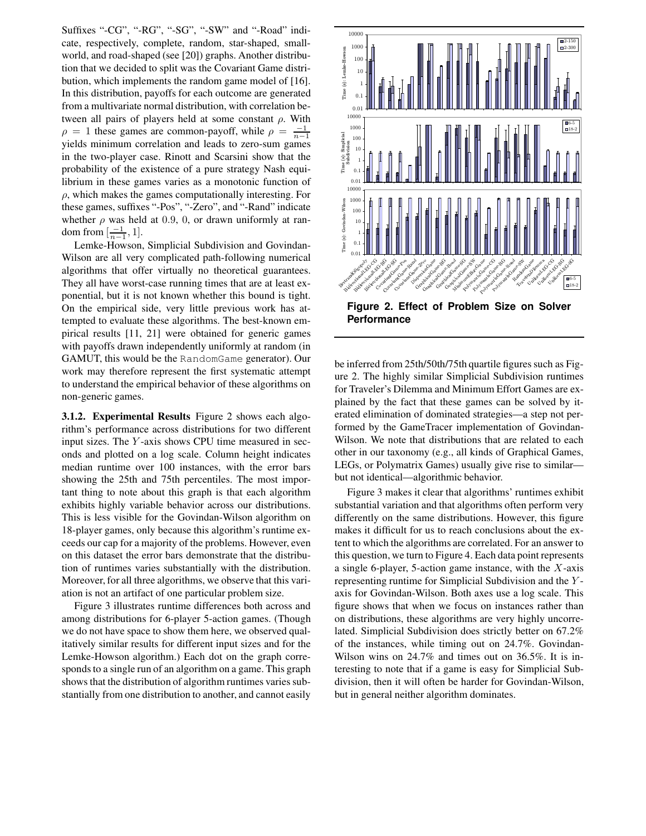Suffixes "-CG", "-RG", "-SG", "-SW" and "-Road" indicate, respectively, complete, random, star-shaped, smallworld, and road-shaped (see [20]) graphs. Another distribution that we decided to split was the Covariant Game distribution, which implements the random game model of [16]. In this distribution, payoffs for each outcome are generated from a multivariate normal distribution, with correlation between all pairs of players held at some constant  $\rho$ . With  $\rho = 1$  these games are common-payoff, while  $\rho = \frac{-1}{n-1}$ yields minimum correlation and leads to zero-sum games in the two-player case. Rinott and Scarsini show that the probability of the existence of a pure strategy Nash equilibrium in these games varies as a monotonic function of  $\rho$ , which makes the games computationally interesting. For these games, suffixes "-Pos", "-Zero", and "-Rand" indicate whether  $\rho$  was held at 0.9, 0, or drawn uniformly at random from  $\left[\frac{-1}{n-1}, 1\right]$ .

Lemke-Howson, Simplicial Subdivision and Govindan-Wilson are all very complicated path-following numerical algorithms that offer virtually no theoretical guarantees. They all have worst-case running times that are at least exponential, but it is not known whether this bound is tight. On the empirical side, very little previous work has attempted to evaluate these algorithms. The best-known empirical results [11, 21] were obtained for generic games with payoffs drawn independently uniformly at random (in GAMUT, this would be the RandomGame generator). Our work may therefore represent the first systematic attempt to understand the empirical behavior of these algorithms on non-generic games.

**3.1.2. Experimental Results** Figure 2 shows each algorithm's performance across distributions for two different input sizes. The Y -axis shows CPU time measured in seconds and plotted on a log scale. Column height indicates median runtime over 100 instances, with the error bars showing the 25th and 75th percentiles. The most important thing to note about this graph is that each algorithm exhibits highly variable behavior across our distributions. This is less visible for the Govindan-Wilson algorithm on 18-player games, only because this algorithm's runtime exceeds our cap for a majority of the problems. However, even on this dataset the error bars demonstrate that the distribution of runtimes varies substantially with the distribution. Moreover, for all three algorithms, we observe that this variation is not an artifact of one particular problem size.

Figure 3 illustrates runtime differences both across and among distributions for 6-player 5-action games. (Though we do not have space to show them here, we observed qualitatively similar results for different input sizes and for the Lemke-Howson algorithm.) Each dot on the graph corresponds to a single run of an algorithm on a game. This graph shows that the distribution of algorithm runtimes varies substantially from one distribution to another, and cannot easily



**Figure 2. Effect of Problem Size on Solver Performance**

be inferred from 25th/50th/75th quartile figures such as Figure 2. The highly similar Simplicial Subdivision runtimes for Traveler's Dilemma and Minimum Effort Games are explained by the fact that these games can be solved by iterated elimination of dominated strategies—a step not performed by the GameTracer implementation of Govindan-Wilson. We note that distributions that are related to each other in our taxonomy (e.g., all kinds of Graphical Games, LEGs, or Polymatrix Games) usually give rise to similar but not identical—algorithmic behavior.

Figure 3 makes it clear that algorithms' runtimes exhibit substantial variation and that algorithms often perform very differently on the same distributions. However, this figure makes it difficult for us to reach conclusions about the extent to which the algorithms are correlated. For an answer to this question, we turn to Figure 4. Each data point represents a single 6-player, 5-action game instance, with the  $X$ -axis representing runtime for Simplicial Subdivision and the Y axis for Govindan-Wilson. Both axes use a log scale. This figure shows that when we focus on instances rather than on distributions, these algorithms are very highly uncorrelated. Simplicial Subdivision does strictly better on 67.2% of the instances, while timing out on 24.7%. Govindan-Wilson wins on 24.7% and times out on 36.5%. It is interesting to note that if a game is easy for Simplicial Subdivision, then it will often be harder for Govindan-Wilson, but in general neither algorithm dominates.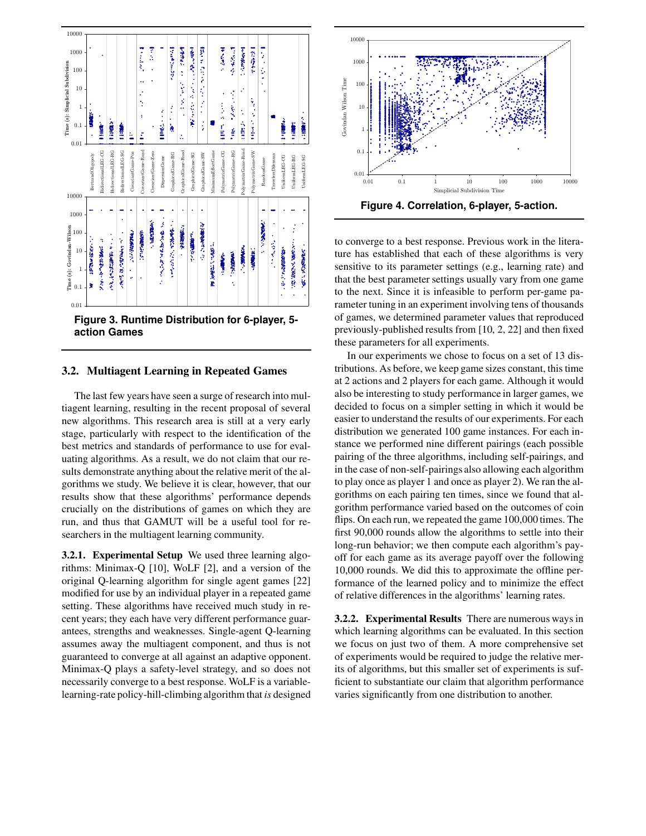

### **3.2. Multiagent Learning in Repeated Games**

The last few years have seen a surge of research into multiagent learning, resulting in the recent proposal of several new algorithms. This research area is still at a very early stage, particularly with respect to the identification of the best metrics and standards of performance to use for evaluating algorithms. As a result, we do not claim that our results demonstrate anything about the relative merit of the algorithms we study. We believe it is clear, however, that our results show that these algorithms' performance depends crucially on the distributions of games on which they are run, and thus that GAMUT will be a useful tool for researchers in the multiagent learning community.

**3.2.1. Experimental Setup** We used three learning algorithms: Minimax-Q [10], WoLF [2], and a version of the original Q-learning algorithm for single agent games [22] modified for use by an individual player in a repeated game setting. These algorithms have received much study in recent years; they each have very different performance guarantees, strengths and weaknesses. Single-agent Q-learning assumes away the multiagent component, and thus is not guaranteed to converge at all against an adaptive opponent. Minimax-Q plays a safety-level strategy, and so does not necessarily converge to a best response. WoLF is a variablelearning-rate policy-hill-climbing algorithm that *is* designed



to converge to a best response. Previous work in the literature has established that each of these algorithms is very sensitive to its parameter settings (e.g., learning rate) and that the best parameter settings usually vary from one game to the next. Since it is infeasible to perform per-game parameter tuning in an experiment involving tens of thousands of games, we determined parameter values that reproduced previously-published results from [10, 2, 22] and then fixed these parameters for all experiments.

In our experiments we chose to focus on a set of 13 distributions. As before, we keep game sizes constant, this time at 2 actions and 2 players for each game. Although it would also be interesting to study performance in larger games, we decided to focus on a simpler setting in which it would be easier to understand the results of our experiments. For each distribution we generated 100 game instances. For each instance we performed nine different pairings (each possible pairing of the three algorithms, including self-pairings, and in the case of non-self-pairings also allowing each algorithm to play once as player 1 and once as player 2). We ran the algorithms on each pairing ten times, since we found that algorithm performance varied based on the outcomes of coin flips. On each run, we repeated the game 100,000 times. The first 90,000 rounds allow the algorithms to settle into their long-run behavior; we then compute each algorithm's payoff for each game as its average payoff over the following 10,000 rounds. We did this to approximate the offline performance of the learned policy and to minimize the effect of relative differences in the algorithms' learning rates.

**3.2.2. Experimental Results** There are numerous ways in which learning algorithms can be evaluated. In this section we focus on just two of them. A more comprehensive set of experiments would be required to judge the relative merits of algorithms, but this smaller set of experiments is sufficient to substantiate our claim that algorithm performance varies significantly from one distribution to another.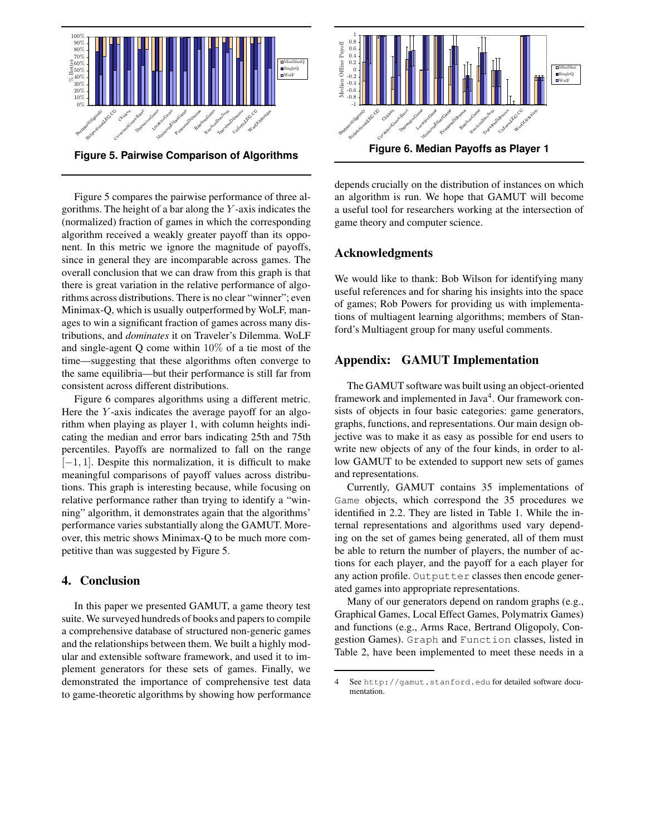

**Figure 5. Pairwise Comparison of Algorithms**

Figure 5 compares the pairwise performance of three algorithms. The height of a bar along the  $Y$ -axis indicates the (normalized) fraction of games in which the corresponding algorithm received a weakly greater payoff than its opponent. In this metric we ignore the magnitude of payoffs, since in general they are incomparable across games. The overall conclusion that we can draw from this graph is that there is great variation in the relative performance of algorithms across distributions. There is no clear "winner"; even Minimax-Q, which is usually outperformed by WoLF, manages to win a significant fraction of games across many distributions, and *dominates* it on Traveler's Dilemma. WoLF and single-agent Q come within 10% of a tie most of the time—suggesting that these algorithms often converge to the same equilibria—but their performance is still far from consistent across different distributions.

Figure 6 compares algorithms using a different metric. Here the  $Y$ -axis indicates the average payoff for an algorithm when playing as player 1, with column heights indicating the median and error bars indicating 25th and 75th percentiles. Payoffs are normalized to fall on the range  $[-1, 1]$ . Despite this normalization, it is difficult to make meaningful comparisons of payoff values across distributions. This graph is interesting because, while focusing on relative performance rather than trying to identify a "winning" algorithm, it demonstrates again that the algorithms' performance varies substantially along the GAMUT. Moreover, this metric shows Minimax-Q to be much more competitive than was suggested by Figure 5.

# **4. Conclusion**

In this paper we presented GAMUT, a game theory test suite. We surveyed hundreds of books and papers to compile a comprehensive database of structured non-generic games and the relationships between them. We built a highly modular and extensible software framework, and used it to implement generators for these sets of games. Finally, we demonstrated the importance of comprehensive test data to game-theoretic algorithms by showing how performance



depends crucially on the distribution of instances on which an algorithm is run. We hope that GAMUT will become a useful tool for researchers working at the intersection of game theory and computer science.

### **Acknowledgments**

We would like to thank: Bob Wilson for identifying many useful references and for sharing his insights into the space of games; Rob Powers for providing us with implementations of multiagent learning algorithms; members of Stanford's Multiagent group for many useful comments.

# **Appendix: GAMUT Implementation**

The GAMUT software was built using an object-oriented framework and implemented in Java<sup>4</sup>. Our framework consists of objects in four basic categories: game generators, graphs, functions, and representations. Our main design objective was to make it as easy as possible for end users to write new objects of any of the four kinds, in order to allow GAMUT to be extended to support new sets of games and representations.

Currently, GAMUT contains 35 implementations of Game objects, which correspond the 35 procedures we identified in 2.2. They are listed in Table 1. While the internal representations and algorithms used vary depending on the set of games being generated, all of them must be able to return the number of players, the number of actions for each player, and the payoff for a each player for any action profile. Outputter classes then encode generated games into appropriate representations.

Many of our generators depend on random graphs (e.g., Graphical Games, Local Effect Games, Polymatrix Games) and functions (e.g., Arms Race, Bertrand Oligopoly, Congestion Games). Graph and Function classes, listed in Table 2, have been implemented to meet these needs in a

<sup>4</sup> See http://gamut.stanford.edu for detailed software documentation.